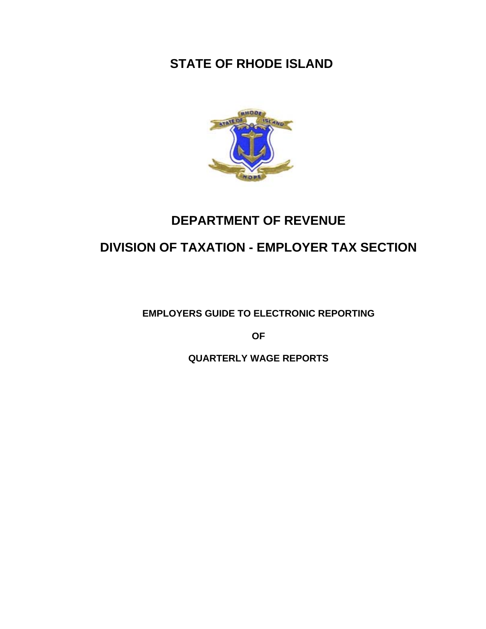# **STATE OF RHODE ISLAND**



# **DEPARTMENT OF REVENUE**

# **DIVISION OF TAXATION - EMPLOYER TAX SECTION**

**EMPLOYERS GUIDE TO ELECTRONIC REPORTING** 

**OF** 

**QUARTERLY WAGE REPORTS**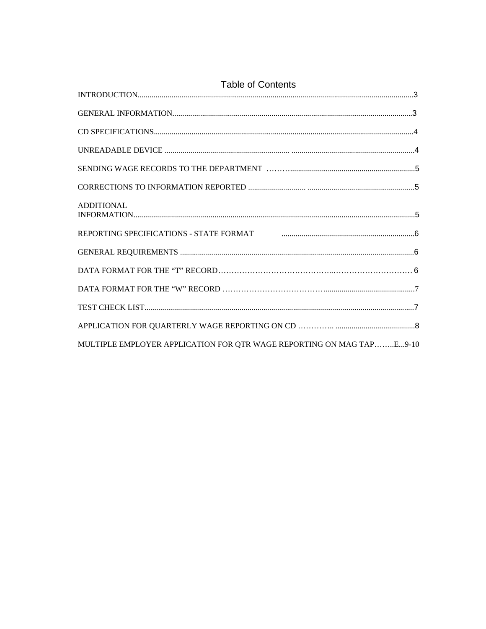| <b>Table of Contents</b>                                                                                                  |  |
|---------------------------------------------------------------------------------------------------------------------------|--|
|                                                                                                                           |  |
|                                                                                                                           |  |
|                                                                                                                           |  |
|                                                                                                                           |  |
|                                                                                                                           |  |
|                                                                                                                           |  |
| <b>ADDITIONAL</b>                                                                                                         |  |
| REPORTING SPECIFICATIONS - STATE FORMAT FORMAT EXAMPLE THE SERIES OF A SERIES AND REPORTING SPECIFICATIONS - STATE FORMAT |  |
|                                                                                                                           |  |
|                                                                                                                           |  |
|                                                                                                                           |  |
|                                                                                                                           |  |
|                                                                                                                           |  |
| MULTIPLE EMPLOYER APPLICATION FOR QTR WAGE REPORTING ON MAG TAPE9-10                                                      |  |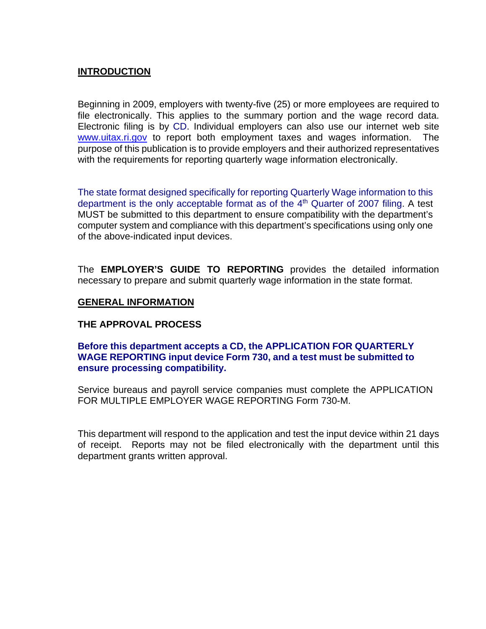## **INTRODUCTION**

Beginning in 2009, employers with twenty-five (25) or more employees are required to file electronically. This applies to the summary portion and the wage record data. Electronic filing is by CD. Individual employers can also use our internet web site www.uitax.ri.gov to report both employment taxes and wages information. The purpose of this publication is to provide employers and their authorized representatives with the requirements for reporting quarterly wage information electronically.

The state format designed specifically for reporting Quarterly Wage information to this department is the only acceptable format as of the  $4<sup>th</sup>$  Quarter of 2007 filing. A test MUST be submitted to this department to ensure compatibility with the department's computer system and compliance with this department's specifications using only one of the above-indicated input devices.

The **EMPLOYER'S GUIDE TO REPORTING** provides the detailed information necessary to prepare and submit quarterly wage information in the state format.

#### **GENERAL INFORMATION**

#### **THE APPROVAL PROCESS**

#### **Before this department accepts a CD, the APPLICATION FOR QUARTERLY WAGE REPORTING input device Form 730, and a test must be submitted to ensure processing compatibility.**

Service bureaus and payroll service companies must complete the APPLICATION FOR MULTIPLE EMPLOYER WAGE REPORTING Form 730-M.

This department will respond to the application and test the input device within 21 days of receipt. Reports may not be filed electronically with the department until this department grants written approval.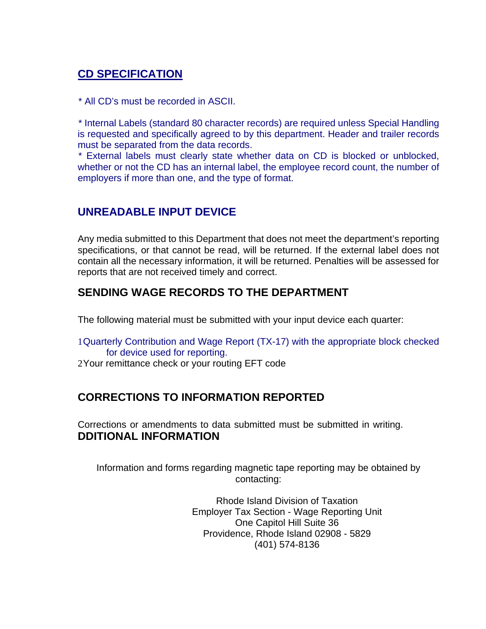# **CD SPECIFICATION**

\* All CD's must be recorded in ASCII.

 \* Internal Labels (standard 80 character records) are required unless Special Handling is requested and specifically agreed to by this department. Header and trailer records must be separated from the data records.

 \* External labels must clearly state whether data on CD is blocked or unblocked, whether or not the CD has an internal label, the employee record count, the number of employers if more than one, and the type of format.

## **UNREADABLE INPUT DEVICE**

Any media submitted to this Department that does not meet the department's reporting specifications, or that cannot be read, will be returned. If the external label does not contain all the necessary information, it will be returned. Penalties will be assessed for reports that are not received timely and correct.

# **SENDING WAGE RECORDS TO THE DEPARTMENT**

The following material must be submitted with your input device each quarter:

- 1 Quarterly Contribution and Wage Report (TX-17) with the appropriate block checked for device used for reporting.
- 2 Your remittance check or your routing EFT code

# **CORRECTIONS TO INFORMATION REPORTED**

Corrections or amendments to data submitted must be submitted in writing. **DDITIONAL INFORMATION**

Information and forms regarding magnetic tape reporting may be obtained by contacting:

> Rhode Island Division of Taxation Employer Tax Section - Wage Reporting Unit One Capitol Hill Suite 36 Providence, Rhode Island 02908 - 5829 (401) 574-8136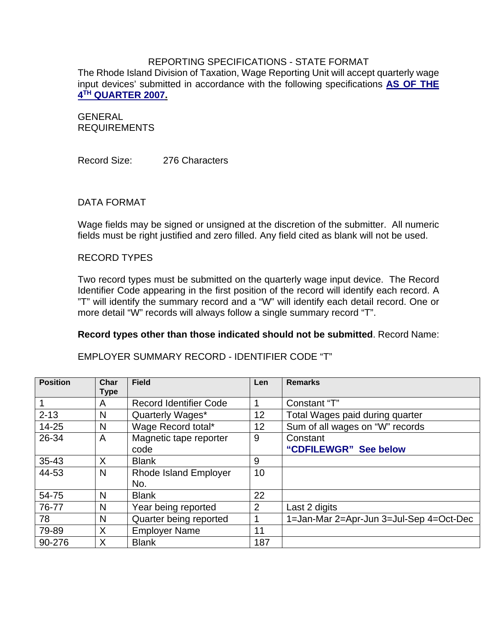### REPORTING SPECIFICATIONS - STATE FORMAT

The Rhode Island Division of Taxation, Wage Reporting Unit will accept quarterly wage input devices' submitted in accordance with the following specifications **AS OF THE 4TH QUARTER 2007.**

GENERAL REQUIREMENTS

Record Size: 276 Characters

#### DATA FORMAT

Wage fields may be signed or unsigned at the discretion of the submitter. All numeric fields must be right justified and zero filled. Any field cited as blank will not be used.

#### RECORD TYPES

Two record types must be submitted on the quarterly wage input device. The Record Identifier Code appearing in the first position of the record will identify each record. A "T" will identify the summary record and a "W" will identify each detail record. One or more detail "W" records will always follow a single summary record "T".

#### **Record types other than those indicated should not be submitted**. Record Name:

| <b>Position</b> | Char<br><b>Type</b> | <b>Field</b>                        | Len            | <b>Remarks</b>                          |
|-----------------|---------------------|-------------------------------------|----------------|-----------------------------------------|
|                 | A                   | <b>Record Identifier Code</b>       | 4              | Constant "T"                            |
| $2 - 13$        | N                   | Quarterly Wages*                    | 12             | Total Wages paid during quarter         |
| $14 - 25$       | N                   | Wage Record total*                  | 12             | Sum of all wages on "W" records         |
| 26-34           | A                   | Magnetic tape reporter<br>code      | 9              | Constant<br>"CDFILEWGR" See below       |
| $35 - 43$       | X                   | <b>Blank</b>                        | 9              |                                         |
| 44-53           | N                   | <b>Rhode Island Employer</b><br>No. | 10             |                                         |
| 54-75           | N                   | <b>Blank</b>                        | 22             |                                         |
| 76-77           | N                   | Year being reported                 | $\overline{2}$ | Last 2 digits                           |
| 78              | N                   | Quarter being reported              |                | 1=Jan-Mar 2=Apr-Jun 3=Jul-Sep 4=Oct-Dec |
| 79-89           | X                   | <b>Employer Name</b>                | 11             |                                         |
| 90-276          | X                   | <b>Blank</b>                        | 187            |                                         |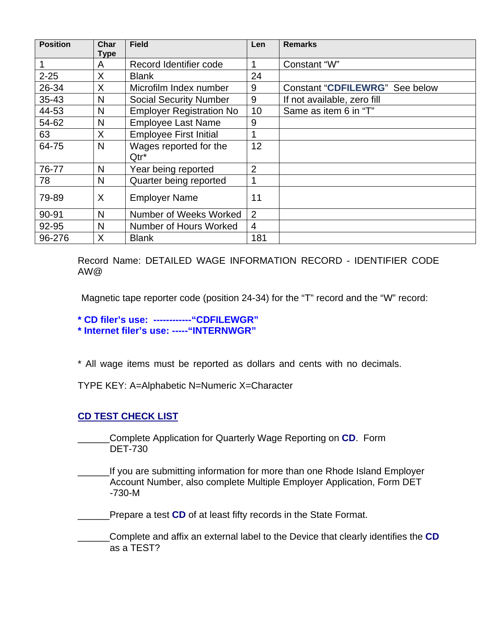| <b>Position</b> | Char<br><b>Type</b> | <b>Field</b>                      | Len            | <b>Remarks</b>                 |
|-----------------|---------------------|-----------------------------------|----------------|--------------------------------|
|                 | A                   | Record Identifier code            |                | Constant "W"                   |
| $2 - 25$        | X                   | <b>Blank</b>                      | 24             |                                |
| 26-34           | X                   | Microfilm Index number            | 9              | Constant "CDFILEWRG" See below |
| 35-43           | N                   | <b>Social Security Number</b>     | 9              | If not available, zero fill    |
| 44-53           | N                   | <b>Employer Registration No</b>   | 10             | Same as item 6 in "T"          |
| 54-62           | N                   | <b>Employee Last Name</b>         | 9              |                                |
| 63              | X                   | <b>Employee First Initial</b>     |                |                                |
| 64-75           | N                   | Wages reported for the<br>$Qtr^*$ | 12             |                                |
| 76-77           | N                   | Year being reported               | $\overline{2}$ |                                |
| 78              | N                   | Quarter being reported            |                |                                |
| 79-89           | X                   | <b>Employer Name</b>              | 11             |                                |
| 90-91           | N                   | Number of Weeks Worked            | $\overline{2}$ |                                |
| 92-95           | N                   | Number of Hours Worked            | 4              |                                |
| 96-276          | X                   | <b>Blank</b>                      | 181            |                                |

Record Name: DETAILED WAGE INFORMATION RECORD - IDENTIFIER CODE AW@

Magnetic tape reporter code (position 24-34) for the "T" record and the "W" record:

**\* CD filer's use: ------------"CDFILEWGR"** 

**\* Internet filer's use:-----"INTERNWGR"** 

\* All wage items must be reported as dollars and cents with no decimals.

TYPE KEY: A=Alphabetic N=Numeric X=Character

### **CD TEST CHECK LIST**

\_\_\_\_\_\_Complete Application for Quarterly Wage Reporting on **CD**. Form DET-730

If you are submitting information for more than one Rhode Island Employer Account Number, also complete Multiple Employer Application, Form DET -730-M

Prepare a test **CD** of at least fifty records in the State Format.

\_\_\_\_\_\_Complete and affix an external label to the Device that clearly identifies the **CD** as a TEST?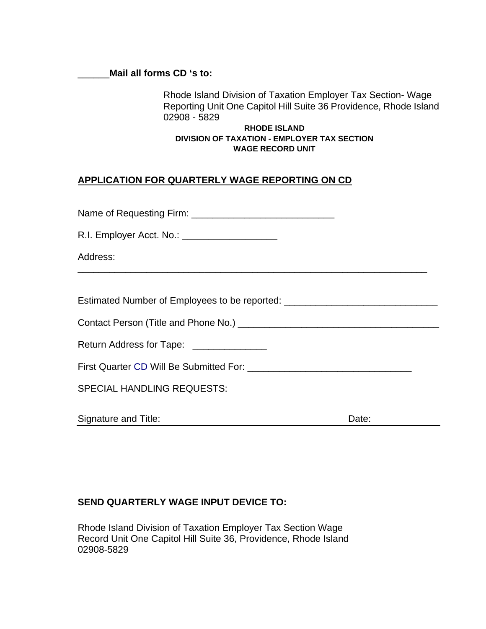#### \_\_\_\_\_\_**Mail all forms CD 's to:**

Rhode Island Division of Taxation Employer Tax Section- Wage Reporting Unit One Capitol Hill Suite 36 Providence, Rhode Island 02908 - 5829

#### **RHODE ISLAND DIVISION OF TAXATION - EMPLOYER TAX SECTION WAGE RECORD UNIT**

## **APPLICATION FOR QUARTERLY WAGE REPORTING ON CD**

Name of Requesting Firm: \_\_\_\_\_\_\_\_\_\_\_\_\_\_\_\_\_\_\_\_\_\_\_\_\_\_\_

R.I. Employer Acct. No.: \_\_\_\_\_\_\_\_\_\_\_\_\_\_\_\_\_\_

Address:

Estimated Number of Employees to be reported: \_\_\_\_\_\_\_\_\_\_\_\_\_\_\_\_\_\_\_\_\_\_\_\_\_\_\_\_\_\_\_\_\_\_

Contact Person (Title and Phone No.) \_\_\_\_\_\_\_\_\_\_\_\_\_\_\_\_\_\_\_\_\_\_\_\_\_\_\_\_\_\_\_\_\_\_\_\_\_\_

Return Address for Tape: \_\_\_\_\_\_\_\_\_\_\_\_\_\_\_

First Quarter CD Will Be Submitted For: \_\_\_\_\_\_\_\_\_\_\_\_\_\_\_\_\_\_\_\_\_\_\_\_\_\_\_\_\_\_\_

\_\_\_\_\_\_\_\_\_\_\_\_\_\_\_\_\_\_\_\_\_\_\_\_\_\_\_\_\_\_\_\_\_\_\_\_\_\_\_\_\_\_\_\_\_\_\_\_\_\_\_\_\_\_\_\_\_\_\_\_\_\_\_\_\_\_

SPECIAL HANDLING REQUESTS:

Signature and Title: **Date:** Date: Date: **Date:** Date: **Date:** Date: **Date:** Date: **Date:** 2014

## **SEND QUARTERLY WAGE INPUT DEVICE TO:**

Rhode Island Division of Taxation Employer Tax Section Wage Record Unit One Capitol Hill Suite 36, Providence, Rhode Island 02908-5829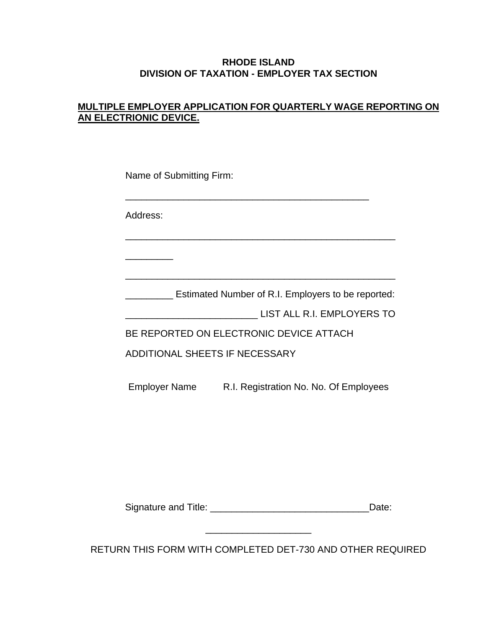### **RHODE ISLAND DIVISION OF TAXATION - EMPLOYER TAX SECTION**

## **MULTIPLE EMPLOYER APPLICATION FOR QUARTERLY WAGE REPORTING ON AN ELECTRIONIC DEVICE.**

| Name of Submitting Firm: |                                                                      |  |  |  |  |
|--------------------------|----------------------------------------------------------------------|--|--|--|--|
| Address:                 |                                                                      |  |  |  |  |
|                          |                                                                      |  |  |  |  |
|                          |                                                                      |  |  |  |  |
|                          | <b>Example 20</b> Estimated Number of R.I. Employers to be reported: |  |  |  |  |
|                          | LIST ALL R.I. EMPLOYERS TO                                           |  |  |  |  |
|                          | BE REPORTED ON ELECTRONIC DEVICE ATTACH                              |  |  |  |  |
|                          | ADDITIONAL SHEETS IF NECESSARY                                       |  |  |  |  |
|                          | Employer Name R.I. Registration No. No. Of Employees                 |  |  |  |  |
|                          |                                                                      |  |  |  |  |
|                          |                                                                      |  |  |  |  |
|                          |                                                                      |  |  |  |  |
|                          |                                                                      |  |  |  |  |
|                          | Date:                                                                |  |  |  |  |
|                          |                                                                      |  |  |  |  |

RETURN THIS FORM WITH COMPLETED DET-730 AND OTHER REQUIRED